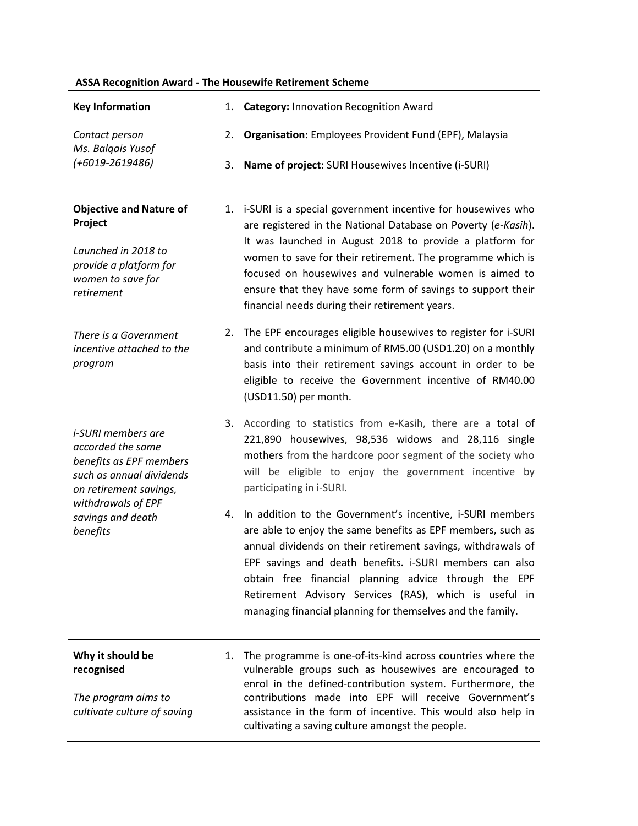|                                                                                                                                                                                        |          | <b>ASSA Recognition Award - The Housewife Retirement Scheme</b>                                                                                                                                                                                                                                                                                                                                                                      |
|----------------------------------------------------------------------------------------------------------------------------------------------------------------------------------------|----------|--------------------------------------------------------------------------------------------------------------------------------------------------------------------------------------------------------------------------------------------------------------------------------------------------------------------------------------------------------------------------------------------------------------------------------------|
| <b>Key Information</b>                                                                                                                                                                 |          | 1. Category: Innovation Recognition Award                                                                                                                                                                                                                                                                                                                                                                                            |
| Contact person<br>Ms. Balqais Yusof<br>$(+6019 - 2619486)$                                                                                                                             | 2.<br>3. | Organisation: Employees Provident Fund (EPF), Malaysia<br>Name of project: SURI Housewives Incentive (i-SURI)                                                                                                                                                                                                                                                                                                                        |
| <b>Objective and Nature of</b><br>Project<br>Launched in 2018 to<br>provide a platform for<br>women to save for<br>retirement                                                          |          | 1. i-SURI is a special government incentive for housewives who<br>are registered in the National Database on Poverty (e-Kasih).<br>It was launched in August 2018 to provide a platform for<br>women to save for their retirement. The programme which is<br>focused on housewives and vulnerable women is aimed to<br>ensure that they have some form of savings to support their<br>financial needs during their retirement years. |
| There is a Government<br>incentive attached to the<br>program                                                                                                                          | 2.       | The EPF encourages eligible housewives to register for i-SURI<br>and contribute a minimum of RM5.00 (USD1.20) on a monthly<br>basis into their retirement savings account in order to be<br>eligible to receive the Government incentive of RM40.00<br>(USD11.50) per month.                                                                                                                                                         |
| <i>i-SURI</i> members are<br>accorded the same<br>benefits as EPF members<br>such as annual dividends<br>on retirement savings,<br>withdrawals of EPF<br>savings and death<br>benefits |          | 3. According to statistics from e-Kasih, there are a total of<br>221,890 housewives, 98,536 widows and 28,116 single<br>mothers from the hardcore poor segment of the society who<br>will be eligible to enjoy the government incentive by<br>participating in i-SURI.                                                                                                                                                               |
|                                                                                                                                                                                        | 4.       | In addition to the Government's incentive, i-SURI members<br>are able to enjoy the same benefits as EPF members, such as<br>annual dividends on their retirement savings, withdrawals of<br>EPF savings and death benefits. i-SURI members can also<br>obtain free financial planning advice through the EPF<br>Retirement Advisory Services (RAS), which is useful in<br>managing financial planning for themselves and the family. |
| Why it should be<br>recognised<br>The program aims to<br>cultivate culture of saving                                                                                                   | 1.       | The programme is one-of-its-kind across countries where the<br>vulnerable groups such as housewives are encouraged to<br>enrol in the defined-contribution system. Furthermore, the<br>contributions made into EPF will receive Government's<br>assistance in the form of incentive. This would also help in<br>cultivating a saving culture amongst the people.                                                                     |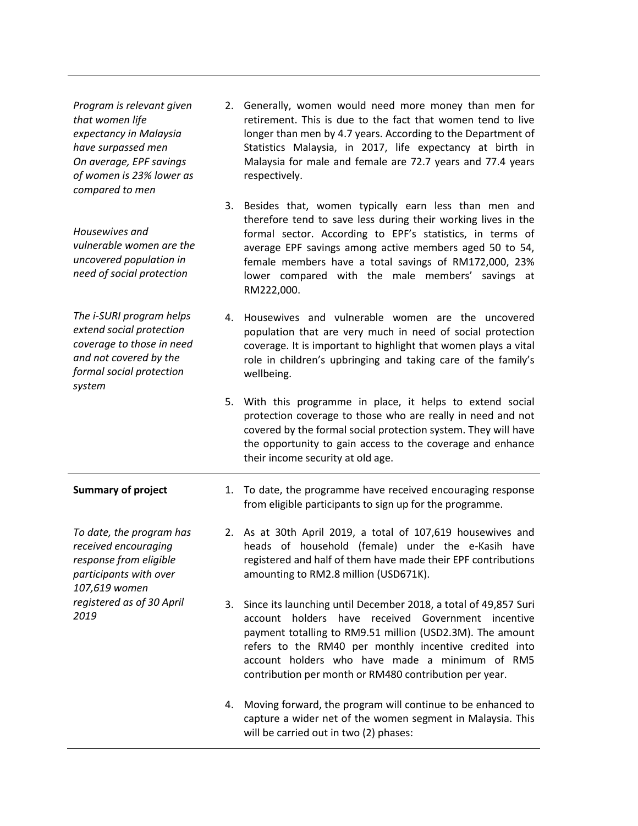*Program is relevant given that women life expectancy in Malaysia have surpassed men On average, EPF savings of women is 23% lower as compared to men Housewives and vulnerable women are the uncovered population in need of social protection The i-SURI program helps extend social protection coverage to those in need and not covered by the formal social protection system* 2. Generally, women would need more money than men for retirement. This is due to the fact that women tend to live longer than men by 4.7 years. According to the Department of Statistics Malaysia, in 2017, life expectancy at birth in Malaysia for male and female are 72.7 years and 77.4 years respectively. 3. Besides that, women typically earn less than men and therefore tend to save less during their working lives in the formal sector. According to EPF's statistics, in terms of average EPF savings among active members aged 50 to 54, female members have a total savings of RM172,000, 23% lower compared with the male members' savings at RM222,000. 4. Housewives and vulnerable women are the uncovered population that are very much in need of social protection coverage. It is important to highlight that women plays a vital role in children's upbringing and taking care of the family's wellbeing. 5. With this programme in place, it helps to extend social protection coverage to those who are really in need and not covered by the formal social protection system. They will have the opportunity to gain access to the coverage and enhance their income security at old age. **Summary of project** *To date, the program has received encouraging response from eligible participants with over 107,619 women registered as of 30 April 2019* 1. To date, the programme have received encouraging response from eligible participants to sign up for the programme. 2. As at 30th April 2019, a total of 107,619 housewives and heads of household (female) under the e-Kasih have registered and half of them have made their EPF contributions amounting to RM2.8 million (USD671K). 3. Since its launching until December 2018, a total of 49,857 Suri account holders have received Government incentive payment totalling to RM9.51 million (USD2.3M). The amount refers to the RM40 per monthly incentive credited into account holders who have made a minimum of RM5 contribution per month or RM480 contribution per year. 4. Moving forward, the program will continue to be enhanced to capture a wider net of the women segment in Malaysia. This

will be carried out in two (2) phases: